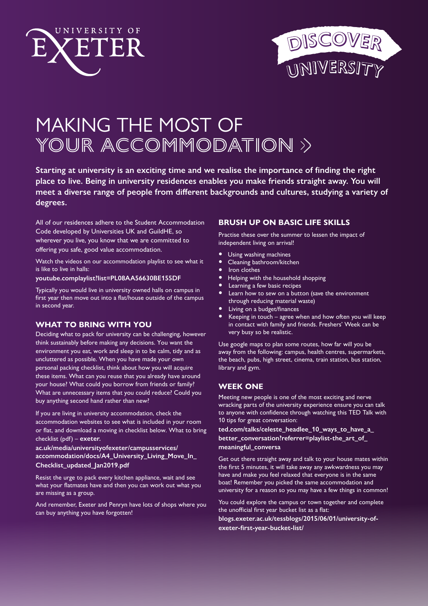



# MAKING THE MOST OF YOUR ACCOMMODATION >>

**Starting at university is an exciting time and we realise the importance of finding the right place to live. Being in university residences enables you make friends straight away. You will meet a diverse range of people from different backgrounds and cultures, studying a variety of degrees.** 

All of our residences adhere to the Student Accommodation Code developed by Universities UK and GuildHE, so wherever you live, you know that we are committed to offering you safe, good value accommodation.

Watch the videos on our accommodation playlist to see what it is like to live in halls:

**[youtube.complaylist?list=PL08AA56630BE155DF](https://www.youtube.com/playlist?list=PL08AA56630BE155DF)** 

Typically you would live in university owned halls on campus in first year then move out into a flat/house outside of the campus in second year.

## **WHAT TO BRING WITH YOU**

Deciding what to pack for university can be challenging, however think sustainably before making any decisions. You want the environment you eat, work and sleep in to be calm, tidy and as uncluttered as possible. When you have made your own personal packing checklist, think about how you will acquire these items. What can you reuse that you already have around your house? What could you borrow from friends or family? What are unnecessary items that you could reduce? Could you buy anything second hand rather than new?

If you are living in university accommodation, check the accommodation websites to see what is included in your room or flat, and download a moving in checklist below. What to bring checklist (pdf) – **exeter.**

**ac.uk/media/universityofexeter/campusservices/ accommodation/docs/A4\_University\_Living\_Move\_In\_ Checklist\_updated\_Jan2019.pdf**

Resist the urge to pack every kitchen appliance, wait and see what your flatmates have and then you can work out what you are missing as a group.

And remember, Exeter and Penryn have lots of shops where you can buy anything you have forgotten!

#### **BRUSH UP ON BASIC LIFE SKILLS**

Practise these over the summer to lessen the impact of independent living on arrival!

- Using washing machines
- Cleaning bathroom/kitchen
- Iron clothes
- Helping with the household shopping
- Learning a few basic recipes
- Learn how to sew on a button (save the environment through reducing material waste)
- Living on a budget/finances
- Keeping in touch agree when and how often you will keep in contact with family and friends. Freshers' Week can be very busy so be realistic.

Use google maps to plan some routes, how far will you be away from the following: campus, health centres, supermarkets, the beach, pubs, high street, cinema, train station, bus station, library and gym.

## **WEEK ONE**

Meeting new people is one of the most exciting and nerve wracking parts of the university experience ensure you can talk to anyone with confidence through watching this TED Talk with 10 tips for great conversation:

**[ted.com/talks/celeste\\_headlee\\_10\\_ways\\_to\\_have\\_a\\_](http://ted.com/talks/celeste_headlee_10_ways_to_have_a_better_conversation?referrer=playlist-the_art_of_mea)** better\_conversation?referrer=playlist-the\_art\_of **[meaningful\\_conversa](http://ted.com/talks/celeste_headlee_10_ways_to_have_a_better_conversation?referrer=playlist-the_art_of_mea)**

Get out there straight away and talk to your house mates within the first 5 minutes, it will take away any awkwardness you may have and make you feel relaxed that everyone is in the same boat! Remember you picked the same accommodation and university for a reason so you may have a few things in common!

You could explore the campus or town together and complete the unofficial first year bucket list as a flat:

**blogs.exeter.ac.uk/tessblogs/2015/06/01/university-ofexeter-first-year-bucket-list/**